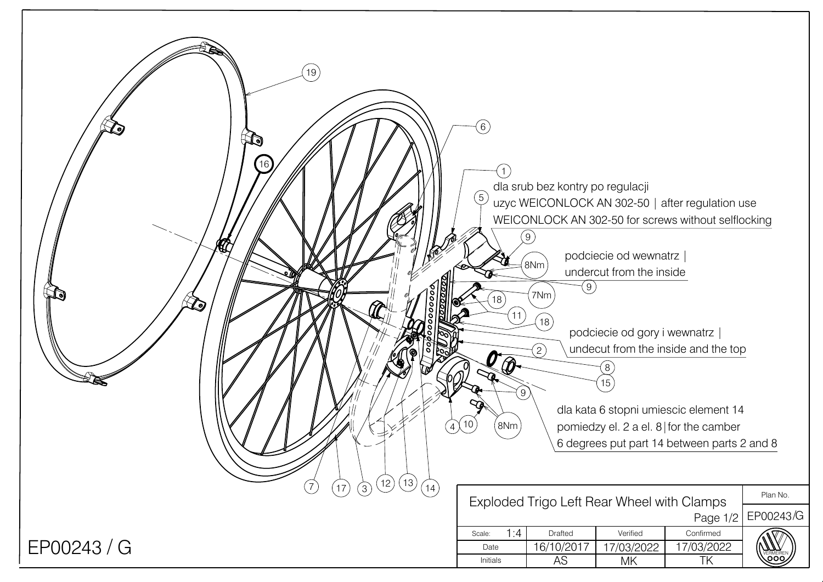